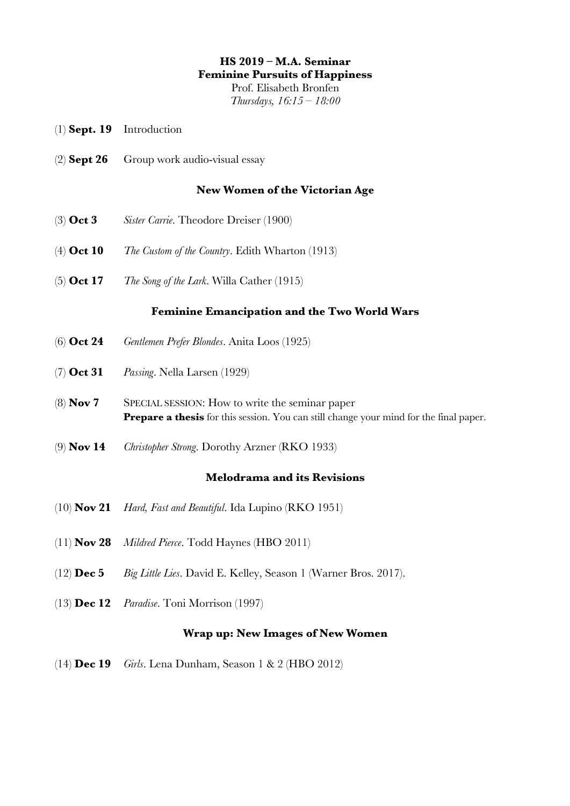# **HS 2019 – M.A. Seminar**

**Feminine Pursuits of Happiness**

Prof. Elisabeth Bronfen *Thursdays, 16:15 – 18:00*

- (1) **Sept. 19** Introduction
- (2) **Sept 26** Group work audio-visual essay

# **New Women of the Victorian Age**

- (3) **Oct 3** *Sister Carrie*. Theodore Dreiser (1900)
- (4) **Oct 10** *The Custom of the Country*. Edith Wharton (1913)
- (5) **Oct 17** *The Song of the Lark*. Willa Cather (1915)

# **Feminine Emancipation and the Two World Wars**

- (6) **Oct 24** *Gentlemen Prefer Blondes*. Anita Loos (1925)
- (7) **Oct 31** *Passing*. Nella Larsen (1929)
- (8) **Nov 7** SPECIAL SESSION: How to write the seminar paper **Prepare a thesis** for this session. You can still change your mind for the final paper.
- (9) **Nov 14** *Christopher Strong*. Dorothy Arzner (RKO 1933)

# **Melodrama and its Revisions**

- (10) **Nov 21** *Hard, Fast and Beautiful*. Ida Lupino (RKO 1951)
- (11) **Nov 28** *Mildred Pierce*. Todd Haynes (HBO 2011)
- (12) **Dec 5** *Big Little Lies*. David E. Kelley, Season 1 (Warner Bros. 2017).
- (13) **Dec 12** *Paradise*. Toni Morrison (1997)

# **Wrap up: New Images of New Women**

(14) **Dec 19** *Girls*. Lena Dunham, Season 1 & 2 (HBO 2012)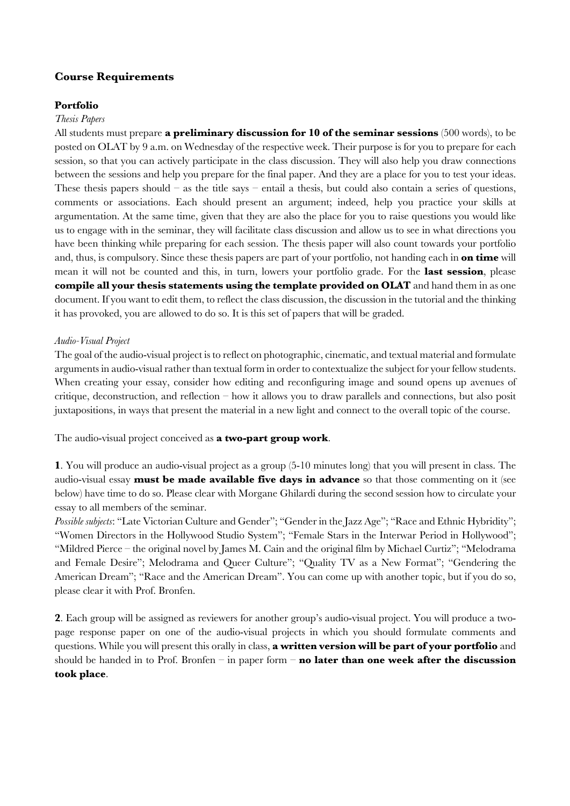## **Course Requirements**

## **Portfolio**

#### *Thesis Papers*

All students must prepare **a preliminary discussion for 10 of the seminar sessions** (500 words), to be posted on OLAT by 9 a.m. on Wednesday of the respective week. Their purpose is for you to prepare for each session, so that you can actively participate in the class discussion. They will also help you draw connections between the sessions and help you prepare for the final paper. And they are a place for you to test your ideas. These thesis papers should – as the title says – entail a thesis, but could also contain a series of questions, comments or associations. Each should present an argument; indeed, help you practice your skills at argumentation. At the same time, given that they are also the place for you to raise questions you would like us to engage with in the seminar, they will facilitate class discussion and allow us to see in what directions you have been thinking while preparing for each session. The thesis paper will also count towards your portfolio and, thus, is compulsory. Since these thesis papers are part of your portfolio, not handing each in **on time** will mean it will not be counted and this, in turn, lowers your portfolio grade. For the **last session**, please **compile all your thesis statements using the template provided on OLAT** and hand them in as one document. If you want to edit them, to reflect the class discussion, the discussion in the tutorial and the thinking it has provoked, you are allowed to do so. It is this set of papers that will be graded.

### *Audio-Visual Project*

The goal of the audio-visual project is to reflect on photographic, cinematic, and textual material and formulate arguments in audio-visual rather than textual form in order to contextualize the subject for your fellow students. When creating your essay, consider how editing and reconfiguring image and sound opens up avenues of critique, deconstruction, and reflection – how it allows you to draw parallels and connections, but also posit juxtapositions, in ways that present the material in a new light and connect to the overall topic of the course.

The audio-visual project conceived as **a two-part group work**.

**1**. You will produce an audio-visual project as a group (5-10 minutes long) that you will present in class. The audio-visual essay **must be made available five days in advance** so that those commenting on it (see below) have time to do so. Please clear with Morgane Ghilardi during the second session how to circulate your essay to all members of the seminar.

*Possible subjects*: "Late Victorian Culture and Gender"; "Gender in the Jazz Age"; "Race and Ethnic Hybridity"; "Women Directors in the Hollywood Studio System"; "Female Stars in the Interwar Period in Hollywood"; "Mildred Pierce – the original novel by James M. Cain and the original film by Michael Curtiz"; "Melodrama and Female Desire"; Melodrama and Queer Culture"; "Quality TV as a New Format"; "Gendering the American Dream"; "Race and the American Dream". You can come up with another topic, but if you do so, please clear it with Prof. Bronfen.

**2**. Each group will be assigned as reviewers for another group's audio-visual project. You will produce a twopage response paper on one of the audio-visual projects in which you should formulate comments and questions. While you will present this orally in class, **a written version will be part of your portfolio** and should be handed in to Prof. Bronfen – in paper form – **no later than one week after the discussion took place**.